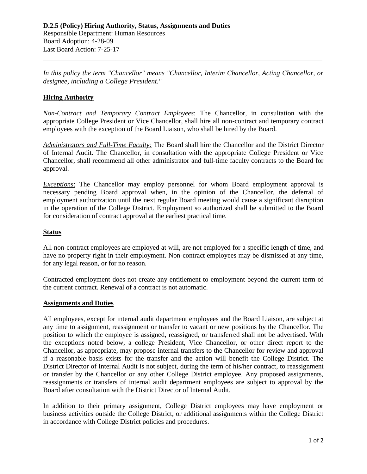*In this policy the term "Chancellor" means "Chancellor, Interim Chancellor, Acting Chancellor, or designee, including a College President."* 

\_\_\_\_\_\_\_\_\_\_\_\_\_\_\_\_\_\_\_\_\_\_\_\_\_\_\_\_\_\_\_\_\_\_\_\_\_\_\_\_\_\_\_\_\_\_\_\_\_\_\_\_\_\_\_\_\_\_\_\_\_\_\_\_\_\_\_\_\_\_\_\_\_\_\_\_\_\_\_\_\_

## **Hiring Authority**

*Non-Contract and Temporary Contract Employees*: The Chancellor, in consultation with the appropriate College President or Vice Chancellor, shall hire all non-contract and temporary contract employees with the exception of the Board Liaison, who shall be hired by the Board.

*Administrators and Full-Time Faculty:* The Board shall hire the Chancellor and the District Director of Internal Audit. The Chancellor, in consultation with the appropriate College President or Vice Chancellor, shall recommend all other administrator and full-time faculty contracts to the Board for approval.

*Exceptions*: The Chancellor may employ personnel for whom Board employment approval is necessary pending Board approval when, in the opinion of the Chancellor, the deferral of employment authorization until the next regular Board meeting would cause a significant disruption in the operation of the College District. Employment so authorized shall be submitted to the Board for consideration of contract approval at the earliest practical time.

## **Status**

All non-contract employees are employed at will, are not employed for a specific length of time, and have no property right in their employment. Non-contract employees may be dismissed at any time, for any legal reason, or for no reason.

Contracted employment does not create any entitlement to employment beyond the current term of the current contract. Renewal of a contract is not automatic.

## **Assignments and Duties**

All employees, except for internal audit department employees and the Board Liaison, are subject at any time to assignment, reassignment or transfer to vacant or new positions by the Chancellor. The position to which the employee is assigned, reassigned, or transferred shall not be advertised. With the exceptions noted below, a college President, Vice Chancellor, or other direct report to the Chancellor, as appropriate, may propose internal transfers to the Chancellor for review and approval if a reasonable basis exists for the transfer and the action will benefit the College District. The District Director of Internal Audit is not subject, during the term of his/her contract, to reassignment or transfer by the Chancellor or any other College District employee. Any proposed assignments, reassignments or transfers of internal audit department employees are subject to approval by the Board after consultation with the District Director of Internal Audit.

In addition to their primary assignment, College District employees may have employment or business activities outside the College District, or additional assignments within the College District in accordance with College District policies and procedures.